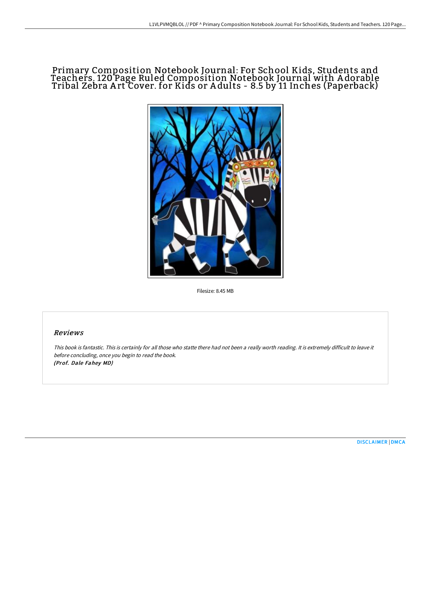# Primary Composition Notebook Journal: For School Kids, Students and Teachers. 120 Page Ruled Composition Notebook Journal with A dorable Tribal Zebra A rt Cover. for Kids or A dults - 8.5 by 11 Inches (Paperback)



Filesize: 8.45 MB

#### Reviews

This book is fantastic. This is certainly for all those who statte there had not been <sup>a</sup> really worth reading. It is extremely difficult to leave it before concluding, once you begin to read the book. (Prof. Dale Fahey MD)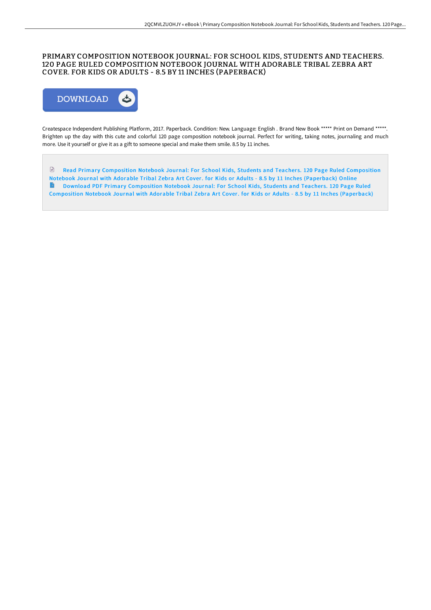## PRIMARY COMPOSITION NOTEBOOK JOURNAL: FOR SCHOOL KIDS, STUDENTS AND TEACHERS. 120 PAGE RULED COMPOSITION NOTEBOOK JOURNAL WITH ADORABLE TRIBAL ZEBRA ART COVER. FOR KIDS OR ADULTS - 8.5 BY 11 INCHES (PAPERBACK)



Createspace Independent Publishing Platform, 2017. Paperback. Condition: New. Language: English . Brand New Book \*\*\*\*\* Print on Demand \*\*\*\*\*. Brighten up the day with this cute and colorful 120 page composition notebook journal. Perfect for writing, taking notes, journaling and much more. Use it yourself or give it as a gift to someone special and make them smile. 8.5 by 11 inches.

 $\ensuremath{\mathop{\boxplus}}$ Read Primary [Composition](http://techno-pub.tech/primary-composition-notebook-journal-for-school--4.html) Notebook Journal: For School Kids, Students and Teachers. 120 Page Ruled Composition Notebook Journal with Adorable Tribal Zebra Art Cover. for Kids or Adults - 8.5 by 11 Inches (Paperback) Online **Download PDF Primary [Composition](http://techno-pub.tech/primary-composition-notebook-journal-for-school--4.html) Notebook Journal: For School Kids, Students and Teachers. 120 Page Ruled** Composition Notebook Journal with Adorable Tribal Zebra Art Cover. for Kids or Adults - 8.5 by 11 Inches (Paperback)